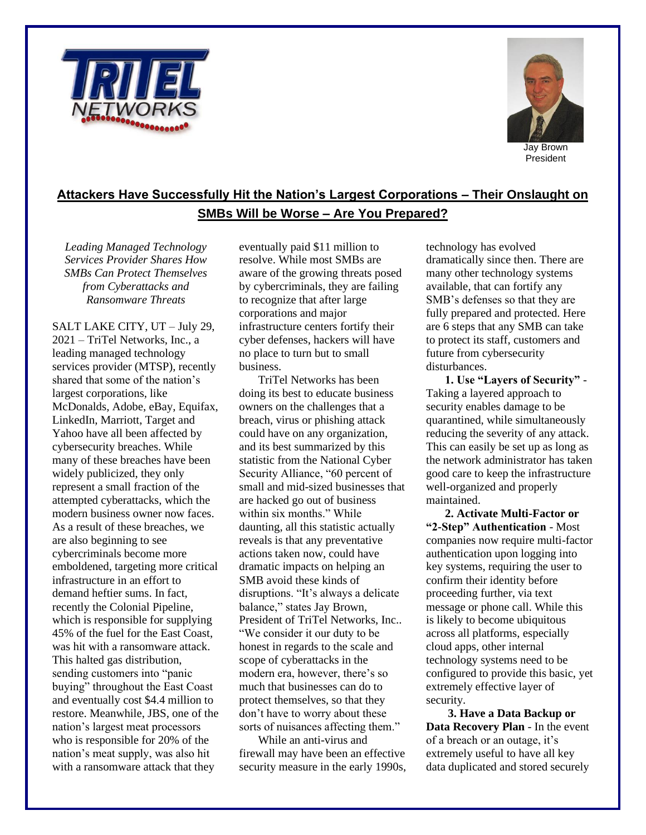



## **Attackers Have Successfully Hit the Nation's Largest Corporations – Their Onslaught on SMBs Will be Worse – Are You Prepared?**

*Leading Managed Technology Services Provider Shares How SMBs Can Protect Themselves from Cyberattacks and Ransomware Threats*

SALT LAKE CITY, UT – July 29, 2021 – TriTel Networks, Inc., a leading managed technology services provider (MTSP), recently shared that some of the nation's largest corporations, like McDonalds, Adobe, eBay, Equifax, LinkedIn, Marriott, Target and Yahoo have all been affected by cybersecurity breaches. While many of these breaches have been widely publicized, they only represent a small fraction of the attempted cyberattacks, which the modern business owner now faces. As a result of these breaches, we are also beginning to see cybercriminals become more emboldened, targeting more critical infrastructure in an effort to demand heftier sums. In fact, recently the Colonial Pipeline, which is responsible for supplying 45% of the fuel for the East Coast, was hit with a ransomware attack. This halted gas distribution, sending customers into "panic buying" throughout the East Coast and eventually cost \$4.4 million to restore. Meanwhile, JBS, one of the nation's largest meat processors who is responsible for 20% of the nation's meat supply, was also hit with a ransomware attack that they

eventually paid \$11 million to resolve. While most SMBs are aware of the growing threats posed by cybercriminals, they are failing to recognize that after large corporations and major infrastructure centers fortify their cyber defenses, hackers will have no place to turn but to small business.

TriTel Networks has been doing its best to educate business owners on the challenges that a breach, virus or phishing attack could have on any organization, and its best summarized by this statistic from the National Cyber Security Alliance, "60 percent of small and mid-sized businesses that are hacked go out of business within six months." While daunting, all this statistic actually reveals is that any preventative actions taken now, could have dramatic impacts on helping an SMB avoid these kinds of disruptions. "It's always a delicate balance," states Jay Brown, President of TriTel Networks, Inc.. "We consider it our duty to be honest in regards to the scale and scope of cyberattacks in the modern era, however, there's so much that businesses can do to protect themselves, so that they don't have to worry about these sorts of nuisances affecting them."

While an anti-virus and firewall may have been an effective security measure in the early 1990s, technology has evolved dramatically since then. There are many other technology systems available, that can fortify any SMB's defenses so that they are fully prepared and protected. Here are 6 steps that any SMB can take to protect its staff, customers and future from cybersecurity disturbances.

**1. Use "Layers of Security"** - Taking a layered approach to security enables damage to be quarantined, while simultaneously reducing the severity of any attack. This can easily be set up as long as the network administrator has taken good care to keep the infrastructure well-organized and properly maintained.

**2. Activate Multi-Factor or "2-Step" Authentication** - Most companies now require multi-factor authentication upon logging into key systems, requiring the user to confirm their identity before proceeding further, via text message or phone call. While this is likely to become ubiquitous across all platforms, especially cloud apps, other internal technology systems need to be configured to provide this basic, yet extremely effective layer of security.

**3. Have a Data Backup or Data Recovery Plan** - In the event of a breach or an outage, it's extremely useful to have all key data duplicated and stored securely